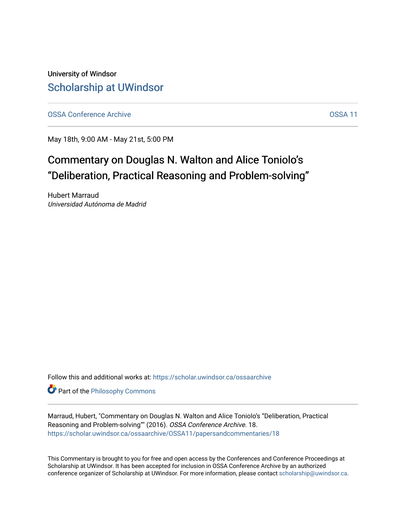University of Windsor [Scholarship at UWindsor](https://scholar.uwindsor.ca/) 

[OSSA Conference Archive](https://scholar.uwindsor.ca/ossaarchive) **OSSA 11** 

May 18th, 9:00 AM - May 21st, 5:00 PM

# Commentary on Douglas N. Walton and Alice Toniolo's "Deliberation, Practical Reasoning and Problem-solving"

Hubert Marraud Universidad Autónoma de Madrid

Follow this and additional works at: [https://scholar.uwindsor.ca/ossaarchive](https://scholar.uwindsor.ca/ossaarchive?utm_source=scholar.uwindsor.ca%2Fossaarchive%2FOSSA11%2Fpapersandcommentaries%2F18&utm_medium=PDF&utm_campaign=PDFCoverPages)

**Part of the Philosophy Commons** 

Marraud, Hubert, "Commentary on Douglas N. Walton and Alice Toniolo's "Deliberation, Practical Reasoning and Problem-solving"" (2016). OSSA Conference Archive. 18. [https://scholar.uwindsor.ca/ossaarchive/OSSA11/papersandcommentaries/18](https://scholar.uwindsor.ca/ossaarchive/OSSA11/papersandcommentaries/18?utm_source=scholar.uwindsor.ca%2Fossaarchive%2FOSSA11%2Fpapersandcommentaries%2F18&utm_medium=PDF&utm_campaign=PDFCoverPages) 

This Commentary is brought to you for free and open access by the Conferences and Conference Proceedings at Scholarship at UWindsor. It has been accepted for inclusion in OSSA Conference Archive by an authorized conference organizer of Scholarship at UWindsor. For more information, please contact [scholarship@uwindsor.ca.](mailto:scholarship@uwindsor.ca)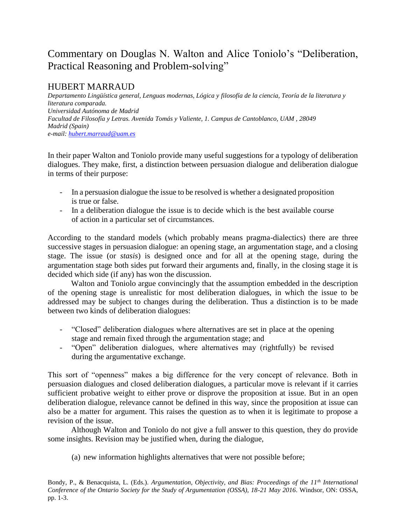## Commentary on Douglas N. Walton and Alice Toniolo's "Deliberation, Practical Reasoning and Problem-solving"

## HUBERT MARRAUD

*Departamento Lingüística general, Lenguas modernas, Lógica y filosofía de la ciencia, Teoría de la literatura y literatura comparada. Universidad Autónoma de Madrid Facultad de Filosofía y Letras. Avenida Tomás y Valiente, 1. Campus de Cantoblanco, UAM , 28049 Madrid (Spain) e-mail: [hubert.marraud@uam.es](mailto:hubert.marraud@uam.es)*

In their paper Walton and Toniolo provide many useful suggestions for a typology of deliberation dialogues. They make, first, a distinction between persuasion dialogue and deliberation dialogue in terms of their purpose:

- In a persuasion dialogue the issue to be resolved is whether a designated proposition is true or false.
- In a deliberation dialogue the issue is to decide which is the best available course of action in a particular set of circumstances.

According to the standard models (which probably means pragma-dialectics) there are three successive stages in persuasion dialogue: an opening stage, an argumentation stage, and a closing stage. The issue (or *stasis*) is designed once and for all at the opening stage, during the argumentation stage both sides put forward their arguments and, finally, in the closing stage it is decided which side (if any) has won the discussion.

Walton and Toniolo argue convincingly that the assumption embedded in the description of the opening stage is unrealistic for most deliberation dialogues, in which the issue to be addressed may be subject to changes during the deliberation. Thus a distinction is to be made between two kinds of deliberation dialogues:

- "Closed" deliberation dialogues where alternatives are set in place at the opening stage and remain fixed through the argumentation stage; and
- "Open" deliberation dialogues, where alternatives may (rightfully) be revised during the argumentative exchange.

This sort of "openness" makes a big difference for the very concept of relevance. Both in persuasion dialogues and closed deliberation dialogues, a particular move is relevant if it carries sufficient probative weight to either prove or disprove the proposition at issue. But in an open deliberation dialogue, relevance cannot be defined in this way, since the proposition at issue can also be a matter for argument. This raises the question as to when it is legitimate to propose a revision of the issue.

Although Walton and Toniolo do not give a full answer to this question, they do provide some insights. Revision may be justified when, during the dialogue,

(a) new information highlights alternatives that were not possible before;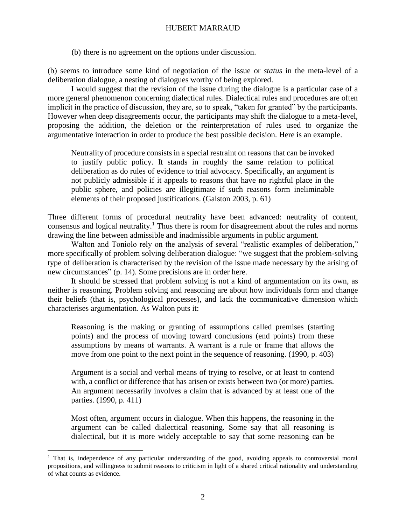### HUBERT MARRAUD

(b) there is no agreement on the options under discussion.

(b) seems to introduce some kind of negotiation of the issue or *status* in the meta-level of a deliberation dialogue, a nesting of dialogues worthy of being explored.

I would suggest that the revision of the issue during the dialogue is a particular case of a more general phenomenon concerning dialectical rules. Dialectical rules and procedures are often implicit in the practice of discussion, they are, so to speak, "taken for granted" by the participants. However when deep disagreements occur, the participants may shift the dialogue to a meta-level, proposing the addition, the deletion or the reinterpretation of rules used to organize the argumentative interaction in order to produce the best possible decision. Here is an example.

Neutrality of procedure consists in a special restraint on reasons that can be invoked to justify public policy. It stands in roughly the same relation to political deliberation as do rules of evidence to trial advocacy. Specifically, an argument is not publicly admissible if it appeals to reasons that have no rightful place in the public sphere, and policies are illegitimate if such reasons form ineliminable elements of their proposed justifications. (Galston 2003, p. 61)

Three different forms of procedural neutrality have been advanced: neutrality of content, consensus and logical neutrality.<sup>1</sup> Thus there is room for disagreement about the rules and norms drawing the line between admissible and inadmissible arguments in public argument.

Walton and Toniolo rely on the analysis of several "realistic examples of deliberation," more specifically of problem solving deliberation dialogue: "we suggest that the problem-solving type of deliberation is characterised by the revision of the issue made necessary by the arising of new circumstances" (p. 14). Some precisions are in order here.

It should be stressed that problem solving is not a kind of argumentation on its own, as neither is reasoning. Problem solving and reasoning are about how individuals form and change their beliefs (that is, psychological processes), and lack the communicative dimension which characterises argumentation. As Walton puts it:

Reasoning is the making or granting of assumptions called premises (starting points) and the process of moving toward conclusions (end points) from these assumptions by means of warrants. A warrant is a rule or frame that allows the move from one point to the next point in the sequence of reasoning. (1990, p. 403)

Argument is a social and verbal means of trying to resolve, or at least to contend with, a conflict or difference that has arisen or exists between two (or more) parties. An argument necessarily involves a claim that is advanced by at least one of the parties. (1990, p. 411)

Most often, argument occurs in dialogue. When this happens, the reasoning in the argument can be called dialectical reasoning. Some say that all reasoning is dialectical, but it is more widely acceptable to say that some reasoning can be

 $\overline{a}$ 

<sup>&</sup>lt;sup>1</sup> That is, independence of any particular understanding of the good, avoiding appeals to controversial moral propositions, and willingness to submit reasons to criticism in light of a shared critical rationality and understanding of what counts as evidence.